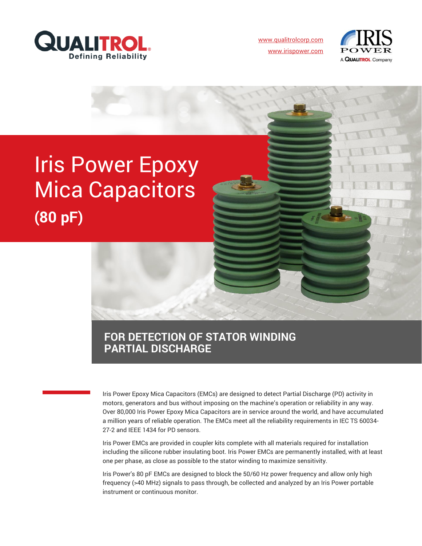

[www.qualitrolcorp.com](https://www.qualitrolcorp.com/) [www.irispower.com](https://irispower.com/)



# Iris Power Epoxy Mica Capacitors **(80 pF)**

### **FOR DETECTION OF STATOR WINDING PARTIAL DISCHARGE**

Iris Power Epoxy Mica Capacitors (EMCs) are designed to detect Partial Discharge (PD) activity in motors, generators and bus without imposing on the machine's operation or reliability in any way. Over 80,000 Iris Power Epoxy Mica Capacitors are in service around the world, and have accumulated a million years of reliable operation. The EMCs meet all the reliability requirements in IEC TS 60034- 27-2 and IEEE 1434 for PD sensors.

Iris Power EMCs are provided in coupler kits complete with all materials required for installation including the silicone rubber insulating boot. Iris Power EMCs are permanently installed, with at least one per phase, as close as possible to the stator winding to maximize sensitivity.

Iris Power's 80 pF EMCs are designed to block the 50/60 Hz power frequency and allow only high frequency (>40 MHz) signals to pass through, be collected and analyzed by an Iris Power portable instrument or continuous monitor.